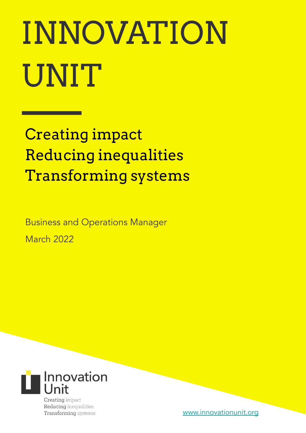# INNOVATION UNIT

Creating impact Reducing inequalities Transforming systems

Business and Operations Manager March 2022



Creating impact Reducing inequalities Transforming systems

[www.innovationunit.org](http://www.innovationunit.org)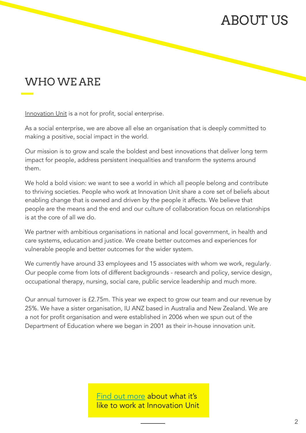### ABOUT US

### WHO WE ARE

[Innovation Unit](http://www.innovationunit.org/) is a not for profit, social enterprise.

As a social enterprise, we are above all else an organisation that is deeply committed to making a positive, social impact in the world.

Our mission is to grow and scale the boldest and best innovations that deliver long term impact for people, address persistent inequalities and transform the systems around them.

We hold a bold vision: we want to see a world in which all people belong and contribute to thriving societies. People who work at Innovation Unit share a core set of beliefs about enabling change that is owned and driven by the people it affects. We believe that people are the means and the end and our culture of collaboration focus on relationships is at the core of all we do.

We partner with ambitious organisations in national and local government, in health and care systems, education and justice. We create better outcomes and experiences for vulnerable people and better outcomes for the wider system.

We currently have around 33 employees and 15 associates with whom we work, regularly. Our people come from lots of different backgrounds - research and policy, service design, occupational therapy, nursing, social care, public service leadership and much more.

Our annual turnover is £2.75m. This year we expect to grow our team and our revenue by 25%. We have a sister organisation, IU ANZ based in Australia and New Zealand. We are a not for profit organisation and were established in 2006 when we spun out of the Department of Education where we began in 2001 as their in-house innovation unit.

> [Find out more](https://www.innovationunit.org/work-with-us) about what it's like to work at Innovation Unit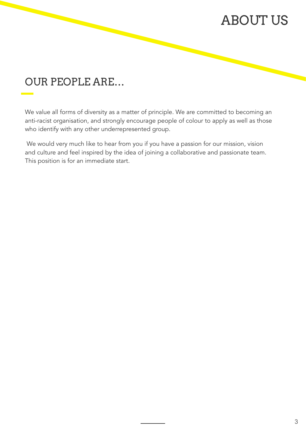### ABOUT US

### OUR PEOPLE ARE…

We value all forms of diversity as a matter of principle. We are committed to becoming an anti-racist organisation, and strongly encourage people of colour to apply as well as those who identify with any other underrepresented group.

 We would very much like to hear from you if you have a passion for our mission, vision and culture and feel inspired by the idea of joining a collaborative and passionate team. This position is for an immediate start.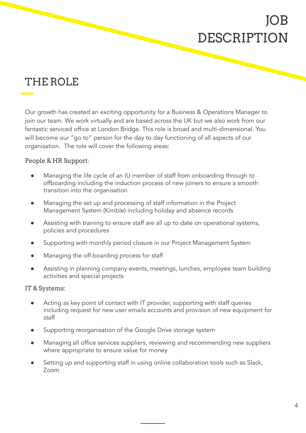# JOB DESCRIPTION

### THE ROLE

Our growth has created an exciting opportunity for a Business & Operations Manager to join our team. We work virtually and are based across the UK but we also work from our fantastic serviced office at London Bridge. This role is broad and multi-dimensional. You will become our "go to" person for the day to day functioning of all aspects of our organisation. The role will cover the following areas:

#### People & HR Support:

- Managing the life cycle of an IU member of staff from onboarding through to offboarding including the induction process of new joiners to ensure a smooth transition into the organisation
- Managing the set up and processing of staff information in the Project Management System (Kimble) including holiday and absence records
- Assisting with training to ensure staff are all up to date on operational systems, policies and procedures
- Supporting with monthly period closure in our Project Management System
- Managing the off-boarding process for staff
- Assisting in planning company events, meetings, lunches, employee team building activities and special projects

#### IT & Systems:

- Acting as key point of contact with IT provider, supporting with staff queries including request for new user emails accounts and provision of new equipment for staff
- Supporting reorganisation of the Google Drive storage system
- Managing all office services suppliers, reviewing and recommending new suppliers where appropriate to ensure value for money
- Setting up and supporting staff in using online collaboration tools such as Slack, Zoom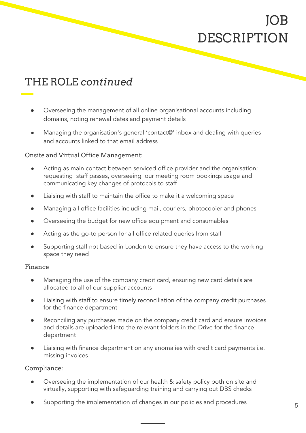# JOB DESCRIPTION

### THE ROLE *continued*

- Overseeing the management of all online organisational accounts including domains, noting renewal dates and payment details
- Managing the organisation's general 'contact@' inbox and dealing with queries and accounts linked to that email address

#### Onsite and Virtual Office Management:

- Acting as main contact between serviced office provider and the organisation; requesting staff passes, overseeing our meeting room bookings usage and communicating key changes of protocols to staff
- Liaising with staff to maintain the office to make it a welcoming space
- Managing all office facilities including mail, couriers, photocopier and phones
- Overseeing the budget for new office equipment and consumables
- Acting as the go-to person for all office related queries from staff
- Supporting staff not based in London to ensure they have access to the working space they need

#### Finance

- Managing the use of the company credit card, ensuring new card details are allocated to all of our supplier accounts
- Liaising with staff to ensure timely reconciliation of the company credit purchases for the finance department
- Reconciling any purchases made on the company credit card and ensure invoices and details are uploaded into the relevant folders in the Drive for the finance department
- Liaising with finance department on any anomalies with credit card payments i.e. missing invoices

#### Compliance:

- Overseeing the implementation of our health & safety policy both on site and virtually, supporting with safeguarding training and carrying out DBS checks
- Supporting the implementation of changes in our policies and procedures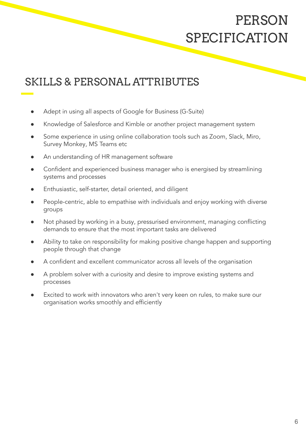# PERSON SPECIFICATION

### SKILLS & PERSONAL ATTRIBUTES

- Adept in using all aspects of Google for Business (G-Suite)
- Knowledge of Salesforce and Kimble or another project management system
- Some experience in using online collaboration tools such as Zoom, Slack, Miro, Survey Monkey, MS Teams etc
- An understanding of HR management software
- Confident and experienced business manager who is energised by streamlining systems and processes
- Enthusiastic, self-starter, detail oriented, and diligent
- People-centric, able to empathise with individuals and enjoy working with diverse groups
- Not phased by working in a busy, pressurised environment, managing conflicting demands to ensure that the most important tasks are delivered
- Ability to take on responsibility for making positive change happen and supporting people through that change
- A confident and excellent communicator across all levels of the organisation
- A problem solver with a curiosity and desire to improve existing systems and processes
- Excited to work with innovators who aren't very keen on rules, to make sure our organisation works smoothly and efficiently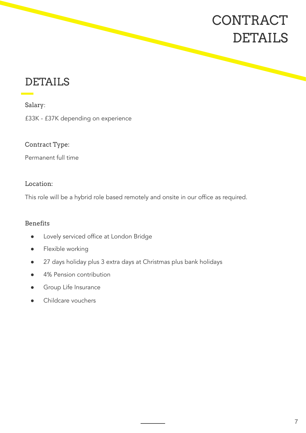# CONTRACT DETAILS

### DETAILS

#### Salary:

£33K - £37K depending on experience

#### Contract Type:

Permanent full time

#### Location:

This role will be a hybrid role based remotely and onsite in our office as required.

#### Benefits

- Lovely serviced office at London Bridge
- Flexible working
- 27 days holiday plus 3 extra days at Christmas plus bank holidays
- 4% Pension contribution
- Group Life Insurance
- Childcare vouchers